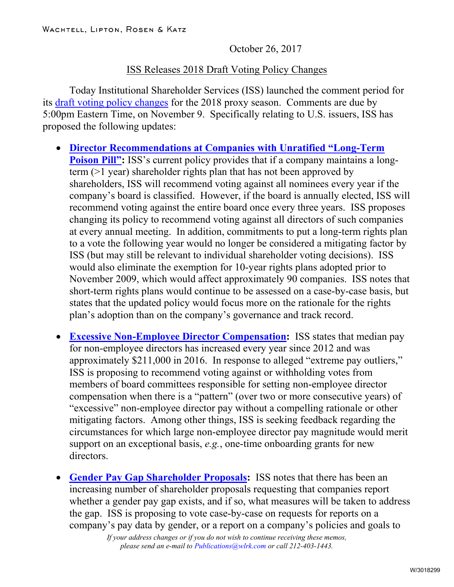October 26, 2017

## ISS Releases 2018 Draft Voting Policy Changes

Today Institutional Shareholder Services (ISS) launched the comment period for its [draft voting policy changes](https://www.issgovernance.com/policy-gateway/2018-benchmark-policy-consultation/) for the 2018 proxy season. Comments are due by 5:00pm Eastern Time, on November 9. Specifically relating to U.S. issuers, ISS has proposed the following updates:

- **[Director Recommendations at Companies with Unratified "Long-Term](https://www.issgovernance.com/file/policy/3-2017-comment-period-template-us-director-elections-poison-pills.pdf) [Poison Pill":](https://www.issgovernance.com/file/policy/3-2017-comment-period-template-us-director-elections-poison-pills.pdf)** ISS's current policy provides that if a company maintains a longterm (>1 year) shareholder rights plan that has not been approved by shareholders, ISS will recommend voting against all nominees every year if the company's board is classified. However, if the board is annually elected, ISS will recommend voting against the entire board once every three years. ISS proposes changing its policy to recommend voting against all directors of such companies at every annual meeting. In addition, commitments to put a long-term rights plan to a vote the following year would no longer be considered a mitigating factor by ISS (but may still be relevant to individual shareholder voting decisions). ISS would also eliminate the exemption for 10-year rights plans adopted prior to November 2009, which would affect approximately 90 companies. ISS notes that short-term rights plans would continue to be assessed on a case-by-case basis, but states that the updated policy would focus more on the rationale for the rights plan's adoption than on the company's governance and track record.
- **[Excessive Non-Employee Director Compensation:](https://www.issgovernance.com/file/policy/1-2017-comment-period-template-us-director-elections-ned-pay.pdf)** ISS states that median pay for non-employee directors has increased every year since 2012 and was approximately \$211,000 in 2016. In response to alleged "extreme pay outliers," ISS is proposing to recommend voting against or withholding votes from members of board committees responsible for setting non-employee director compensation when there is a "pattern" (over two or more consecutive years) of "excessive" non-employee director pay without a compelling rationale or other mitigating factors. Among other things, ISS is seeking feedback regarding the circumstances for which large non-employee director pay magnitude would merit support on an exceptional basis, *e.g.*, one-time onboarding grants for new directors.
- **[Gender Pay Gap Shareholder Proposals:](https://www.issgovernance.com/file/policy/2-2017-comment-period-template-us-gender-pay-gap-proposals.pdf)** ISS notes that there has been an increasing number of shareholder proposals requesting that companies report whether a gender pay gap exists, and if so, what measures will be taken to address the gap. ISS is proposing to vote case-by-case on requests for reports on a company's pay data by gender, or a report on a company's policies and goals to

*If your address changes or if you do not wish to continue receiving these memos, please send an e-mail to Publications@wlrk.com or call 212-403-1443.*